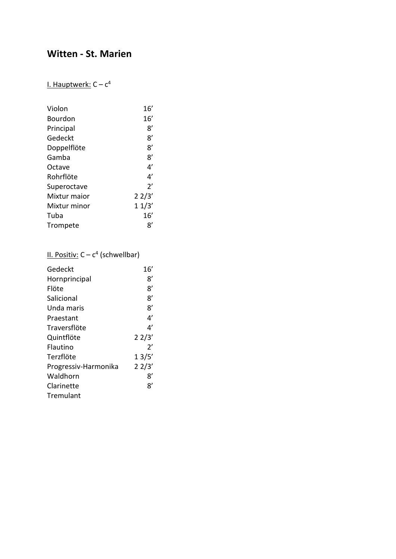# **Witten - St. Marien**

#### I. Hauptwerk: C – c<sup>4</sup>

| Violon         | 16′   |
|----------------|-------|
| <b>Bourdon</b> | 16′   |
| Principal      | 8'    |
| Gedeckt        | 8'    |
| Doppelflöte    | 8'    |
| Gamba          | 8'    |
| Octave         | 4'    |
| Rohrflöte      | 4'    |
| Superoctave    | 2'    |
| Mixtur maior   | 22/3' |
| Mixtur minor   | 11/3' |
| Tuba           | 16′   |
| Trompete       | 8'    |

#### II. Positiv: C – c<sup>4</sup> (schwellbar)

| 16'   |
|-------|
| 8'    |
| 8'    |
| 8'    |
| 8'    |
| 4'    |
| 4'    |
| 22/3' |
| 2'    |
| 13/5' |
| 22/3' |
| 8'    |
| 8'    |
|       |
|       |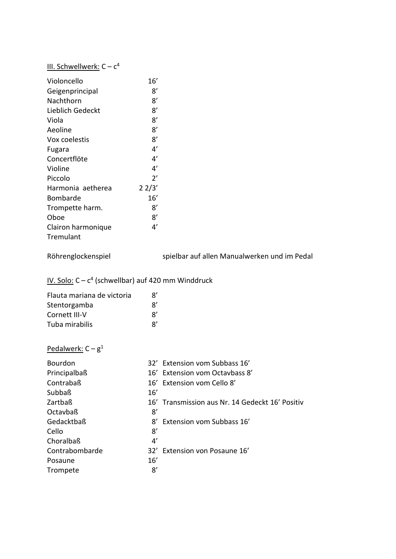#### III. Schwellwerk: C - c<sup>4</sup>

| Violoncello        | 16'          |
|--------------------|--------------|
| Geigenprincipal    | 8′           |
| Nachthorn          | 8'           |
| Lieblich Gedeckt   | 8'           |
| Viola              | 8'           |
| Aeoline            | 8'           |
| Vox coelestis      | 8'           |
| Fugara             | 4'           |
| Concertflöte       | 4'           |
| Violine            | 4'           |
| Piccolo            | $2^{\prime}$ |
| Harmonia aetherea  | 22/3'        |
| Bombarde           | 16'          |
| Trompette harm.    | 8'           |
| Oboe               | 8'           |
| Clairon harmonique | 4'           |
| Tremulant          |              |

Röhrenglockenspiel spielbar auf allen Manualwerken und im Pedal

#### IV. Solo: C – c<sup>4</sup> (schwellbar) auf 420 mm Winddruck

| Flauta mariana de victoria | $\mathsf{R}'$ |
|----------------------------|---------------|
| Stentorgamba               | $\mathsf{R}'$ |
| Cornett III-V              | $\mathsf{R}'$ |
| Tuba mirabilis             | $\mathsf{R}'$ |

### <u>Pedalwerk:</u> C – g<sup>1</sup>

| <b>Bourdon</b> |     | 32' Extension vom Subbass 16'                   |
|----------------|-----|-------------------------------------------------|
| Principalbaß   |     | 16' Extension vom Octavbass 8'                  |
| Contrabaß      |     | 16' Extension vom Cello 8'                      |
| Subbaß         | 16' |                                                 |
| Zartbaß        |     | 16' Transmission aus Nr. 14 Gedeckt 16' Positiv |
| Octavbaß       | 8′  |                                                 |
| Gedacktbaß     | 8'  | <b>Extension vom Subbass 16'</b>                |
| Cello          | 8'  |                                                 |
| Choralbaß      | 4'  |                                                 |
| Contrabombarde |     | 32' Extension von Posaune 16'                   |
| Posaune        | 16' |                                                 |
| Trompete       | 8′  |                                                 |
|                |     |                                                 |